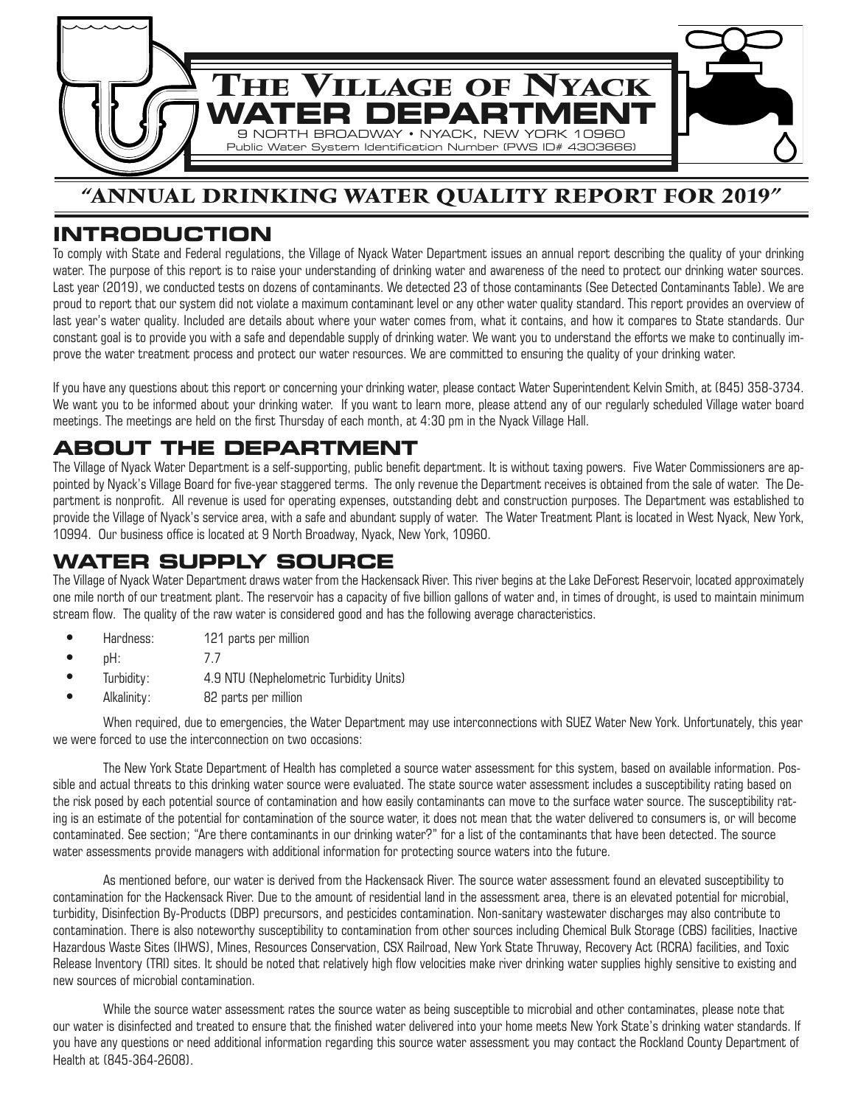

#### **"ANNUAL DRINKING WATER QUALITY REPORT FOR 2019"**

#### **INTRODUCTION**

To comply with State and Federal regulations, the Village of Nyack Water Department issues an annual report describing the quality of your drinking water. The purpose of this report is to raise your understanding of drinking water and awareness of the need to protect our drinking water sources. Last year (2019), we conducted tests on dozens of contaminants. We detected 23 of those contaminants (See Detected Contaminants Table). We are proud to report that our system did not violate a maximum contaminant level or any other water quality standard. This report provides an overview of last year's water quality. Included are details about where your water comes from, what it contains, and how it compares to State standards. Our constant goal is to provide you with a safe and dependable supply of drinking water. We want you to understand the efforts we make to continually improve the water treatment process and protect our water resources. We are committed to ensuring the quality of your drinking water.

If you have any questions about this report or concerning your drinking water, please contact Water Superintendent Kelvin Smith, at (845) 358-3734. We want you to be informed about your drinking water. If you want to learn more, please attend any of our regularly scheduled Village water board meetings. The meetings are held on the first Thursday of each month, at 4:30 pm in the Nyack Village Hall.

#### **ABOUT THE DEPARTMENT**

The Village of Nyack Water Department is a self-supporting, public benefit department. It is without taxing powers. Five Water Commissioners are appointed by Nyack's Village Board for five-year staggered terms. The only revenue the Department receives is obtained from the sale of water. The Department is nonprofit. All revenue is used for operating expenses, outstanding debt and construction purposes. The Department was established to provide the Village of Nyack's service area, with a safe and abundant supply of water. The Water Treatment Plant is located in West Nyack, New York, 10994. Our business office is located at 9 North Broadway, Nyack, New York, 10960.

### **WATER SUPPLY SOURCE**

The Village of Nyack Water Department draws water from the Hackensack River. This river begins at the Lake DeForest Reservoir, located approximately one mile north of our treatment plant. The reservoir has a capacity of five billion gallons of water and, in times of drought, is used to maintain minimum stream flow. The quality of the raw water is considered good and has the following average characteristics.

- **•** Hardness: 121 parts per million
- **•** pH: 7.7
- **•** Turbidity: 4.9 NTU (Nephelometric Turbidity Units)
- **•** Alkalinity: 82 parts per million

When required, due to emergencies, the Water Department may use interconnections with SUEZ Water New York. Unfortunately, this year we were forced to use the interconnection on two occasions:

The New York State Department of Health has completed a source water assessment for this system, based on available information. Possible and actual threats to this drinking water source were evaluated. The state source water assessment includes a susceptibility rating based on the risk posed by each potential source of contamination and how easily contaminants can move to the surface water source. The susceptibility rating is an estimate of the potential for contamination of the source water, it does not mean that the water delivered to consumers is, or will become contaminated. See section; "Are there contaminants in our drinking water?" for a list of the contaminants that have been detected. The source water assessments provide managers with additional information for protecting source waters into the future.

As mentioned before, our water is derived from the Hackensack River. The source water assessment found an elevated susceptibility to contamination for the Hackensack River. Due to the amount of residential land in the assessment area, there is an elevated potential for microbial, turbidity, Disinfection By-Products (DBP) precursors, and pesticides contamination. Non-sanitary wastewater discharges may also contribute to contamination. There is also noteworthy susceptibility to contamination from other sources including Chemical Bulk Storage (CBS) facilities, Inactive Hazardous Waste Sites (IHWS), Mines, Resources Conservation, CSX Railroad, New York State Thruway, Recovery Act (RCRA) facilities, and Toxic Release Inventory (TRI) sites. It should be noted that relatively high flow velocities make river drinking water supplies highly sensitive to existing and new sources of microbial contamination.

While the source water assessment rates the source water as being susceptible to microbial and other contaminates, please note that our water is disinfected and treated to ensure that the finished water delivered into your home meets New York State's drinking water standards. If you have any questions or need additional information regarding this source water assessment you may contact the Rockland County Department of Health at (845-364-2608).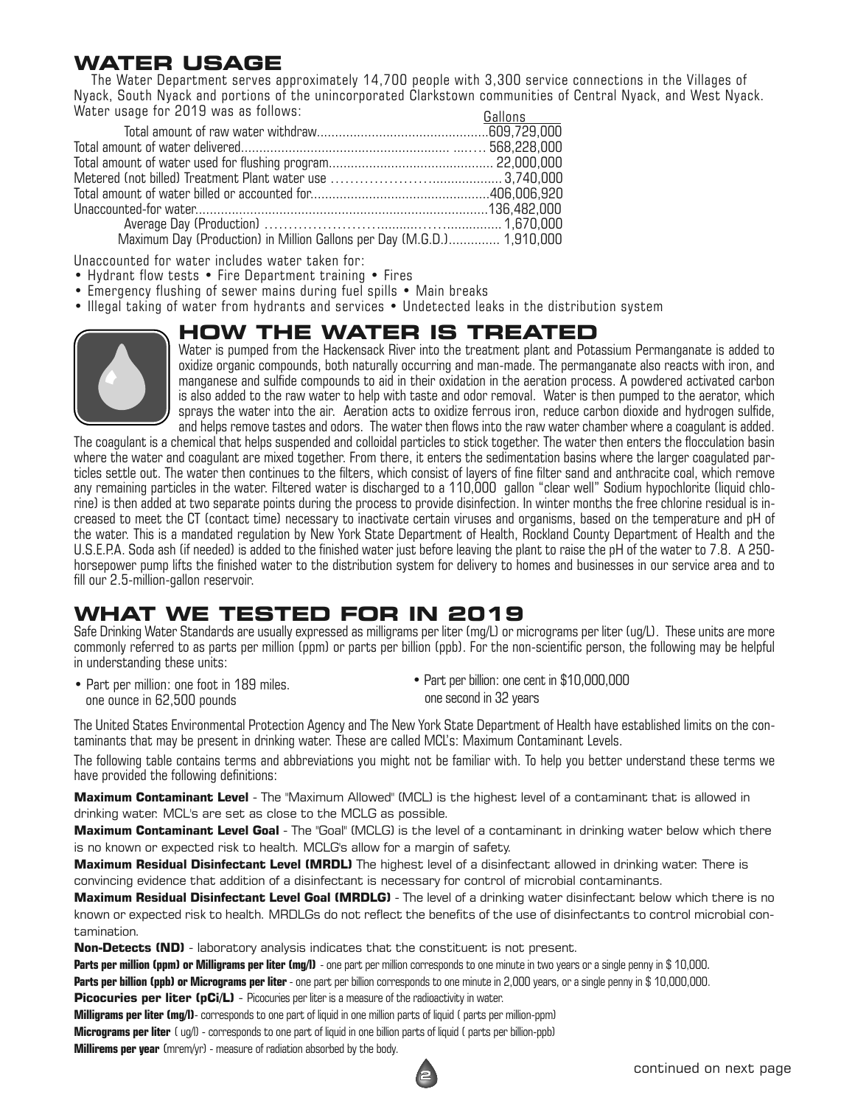### **WATER USAGE**

The Water Department serves approximately 14,700 people with 3,300 service connections in the Villages of Nyack, South Nyack and portions of the unincorporated Clarkstown communities of Central Nyack, and West Nyack. Water usage for 2019 was as follows:

|                                                                                            | <b>UGIIUII</b> O |
|--------------------------------------------------------------------------------------------|------------------|
|                                                                                            |                  |
|                                                                                            |                  |
|                                                                                            |                  |
|                                                                                            |                  |
|                                                                                            |                  |
|                                                                                            |                  |
|                                                                                            |                  |
| $M_{\text{e}}$ and $D_{\text{e}}$ (Declaration) in Millian College non-Dec (MCD) 4.040.000 |                  |

Maximum Day (Production) in Million Gallons per Day (M.G.D.).............. 1,910,000

Unaccounted for water includes water taken for:

- Hydrant flow tests Fire Department training Fires
- Emergency flushing of sewer mains during fuel spills Main breaks
- Illegal taking of water from hydrants and services Undetected leaks in the distribution system

### **HOW THE WATER IS TREATED**



Water is pumped from the Hackensack River into the treatment plant and Potassium Permanganate is added to oxidize organic compounds, both naturally occurring and man-made. The permanganate also reacts with iron, and manganese and sulfide compounds to aid in their oxidation in the aeration process. A powdered activated carbon is also added to the raw water to help with taste and odor removal. Water is then pumped to the aerator, which sprays the water into the air. Aeration acts to oxidize ferrous iron, reduce carbon dioxide and hydrogen sulfide, and helps remove tastes and odors. The water then flows into the raw water chamber where a coagulant is added.

The coagulant is a chemical that helps suspended and colloidal particles to stick together. The water then enters the flocculation basin where the water and coagulant are mixed together. From there, it enters the sedimentation basins where the larger coagulated particles settle out. The water then continues to the filters, which consist of layers of fine filter sand and anthracite coal, which remove any remaining particles in the water. Filtered water is discharged to a 110,000 gallon "clear well" Sodium hypochlorite (liquid chlorine) is then added at two separate points during the process to provide disinfection. In winter months the free chlorine residual is increased to meet the CT (contact time) necessary to inactivate certain viruses and organisms, based on the temperature and pH of the water. This is a mandated regulation by New York State Department of Health, Rockland County Department of Health and the U.S.E.P.A. Soda ash (if needed) is added to the finished water just before leaving the plant to raise the pH of the water to 7.8. A 250 horsepower pump lifts the finished water to the distribution system for delivery to homes and businesses in our service area and to fill our 2.5-million-gallon reservoir.

# **WHAT WE TESTED FOR IN 2019**

Safe Drinking Water Standards are usually expressed as milligrams per liter (mg/L) or micrograms per liter (ug/L). These units are more commonly referred to as parts per million (ppm) or parts per billion (ppb). For the non-scientific person, the following may be helpful in understanding these units:

• Part per million: one foot in 189 miles. one ounce in 62,500 pounds

• Part per billion: one cent in \$10,000,000 one second in 32 years

The United States Environmental Protection Agency and The New York State Department of Health have established limits on the contaminants that may be present in drinking water. These are called MCL's: Maximum Contaminant Levels.

The following table contains terms and abbreviations you might not be familiar with. To help you better understand these terms we have provided the following definitions:

**Maximum Contaminant Level** - The "Maximum Allowed" (MCL) is the highest level of a contaminant that is allowed in drinking water. MCL's are set as close to the MCLG as possible.

**Maximum Contaminant Level Goal** - The "Goal" (MCLG) is the level of a contaminant in drinking water below which there is no known or expected risk to health. MCLG's allow for a margin of safety.

**Maximum Residual Disinfectant Level (MRDL)** The highest level of a disinfectant allowed in drinking water. There is convincing evidence that addition of a disinfectant is necessary for control of microbial contaminants.

**Maximum Residual Disinfectant Level Goal (MRDLG)** - The level of a drinking water disinfectant below which there is no known or expected risk to health. MRDLGs do not reflect the benefits of the use of disinfectants to control microbial contamination.

**Non-Detects (ND)** - laboratory analysis indicates that the constituent is not present.

**Parts per million (ppm) or Milligrams per liter (mg/l)** - one part per million corresponds to one minute in two years or a single penny in \$ 10,000.

**Parts per billion (ppb) or Micrograms per liter** - one part per billion corresponds to one minute in 2,000 years, or a single penny in \$ 10,000,000.

**Picocuries per liter (pCi/L)** - Picocuries per liter is a measure of the radioactivity in water.

**Milligrams per liter (mg/l)**- corresponds to one part of liquid in one million parts of liquid ( parts per million-ppm)

**Micrograms per liter** ( ug/l) - corresponds to one part of liquid in one billion parts of liquid ( parts per billion-ppb)

**Millirems per year** (mrem/yr) - measure of radiation absorbed by the body.



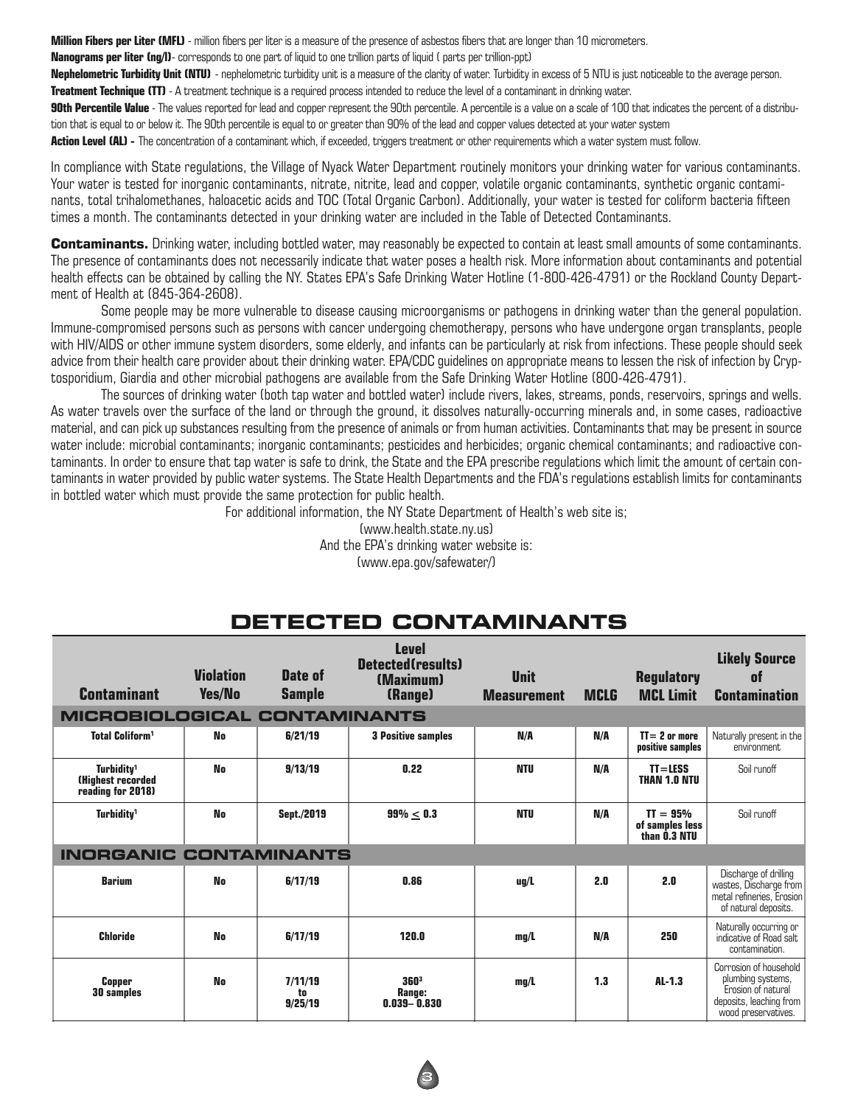**Million Fibers per Liter (MFL)** - million fibers per liter is a measure of the presence of asbestos fibers that are longer than 10 micrometers.

**Nanograms per liter (ng/l)**- corresponds to one part of liquid to one trillion parts of liquid ( parts per trillion-ppt)

**Nephelometric Turbidity Unit (NTU)** - nephelometric turbidity unit is a measure of the clarity of water. Turbidity in excess of 5 NTU is just noticeable to the average person. **Treatment Technique (TT)** - A treatment technique is a required process intended to reduce the level of a contaminant in drinking water.

**90th Percentile Value** - The values reported for lead and copper represent the 90th percentile. A percentile is a value on a scale of 100 that indicates the percent of a distribution that is equal to or below it. The 90th percentile is equal to or greater than 90% of the lead and copper values detected at your water system

**Action Level (AL) -** The concentration of a contaminant which, if exceeded, triggers treatment or other requirements which a water system must follow.

In compliance with State regulations, the Village of Nyack Water Department routinely monitors your drinking water for various contaminants. Your water is tested for inorganic contaminants, nitrate, nitrite, lead and copper, volatile organic contaminants, synthetic organic contaminants, total trihalomethanes, haloacetic acids and TOC (Total Organic Carbon). Additionally, your water is tested for coliform bacteria fifteen times a month. The contaminants detected in your drinking water are included in the Table of Detected Contaminants.

**Contaminants.** Drinking water, including bottled water, may reasonably be expected to contain at least small amounts of some contaminants. The presence of contaminants does not necessarily indicate that water poses a health risk. More information about contaminants and potential health effects can be obtained by calling the NY. States EPA's Safe Drinking Water Hotline (1-800-426-4791) or the Rockland County Department of Health at (845-364-2608).

Some people may be more vulnerable to disease causing microorganisms or pathogens in drinking water than the general population. Immune-compromised persons such as persons with cancer undergoing chemotherapy, persons who have undergone organ transplants, people with HIV/AIDS or other immune system disorders, some elderly, and infants can be particularly at risk from infections. These people should seek advice from their health care provider about their drinking water. EPA/CDC guidelines on appropriate means to lessen the risk of infection by Cryptosporidium, Giardia and other microbial pathogens are available from the Safe Drinking Water Hotline (800-426-4791).

The sources of drinking water (both tap water and bottled water) include rivers, lakes, streams, ponds, reservoirs, springs and wells. As water travels over the surface of the land or through the ground, it dissolves naturally-occurring minerals and, in some cases, radioactive material, and can pick up substances resulting from the presence of animals or from human activities. Contaminants that may be present in source water include: microbial contaminants; inorganic contaminants; pesticides and herbicides; organic chemical contaminants; and radioactive contaminants. In order to ensure that tap water is safe to drink, the State and the EPA prescribe regulations which limit the amount of certain contaminants in water provided by public water systems. The State Health Departments and the FDA's regulations establish limits for contaminants in bottled water which must provide the same protection for public health.

For additional information, the NY State Department of Health's web site is;

(www.health.state.ny.us) And the EPA's drinking water website is: (www.epa.gov/safewater/)

| <b>Contaminant</b>                                                      | <b>Violation</b><br><b>Yes/No</b> | Date of<br><b>Sample</b> | <b>Level</b><br>Detected(results)<br>(Maximum)<br>(Range) | <b>Unit</b><br><b>Measurement</b> | <b>MCLG</b> | <b>Regulatory</b><br><b>MCL Limit</b>         | <b>Likely Source</b><br><b>of</b><br><b>Contamination</b>                                                           |
|-------------------------------------------------------------------------|-----------------------------------|--------------------------|-----------------------------------------------------------|-----------------------------------|-------------|-----------------------------------------------|---------------------------------------------------------------------------------------------------------------------|
| <b>MICROBIOLOGICAL</b>                                                  |                                   | <b>CONTAMINANTS</b>      |                                                           |                                   |             |                                               |                                                                                                                     |
| <b>Total Coliform</b>                                                   | No                                | 6/21/19                  | <b>3 Positive samples</b>                                 | N/A                               | N/A         | $TI = 2$ or more<br>positive samples          | Naturally present in the<br>environment                                                                             |
| Turbiditv <sup>1</sup><br><b>(Highest recorded</b><br>reading for 2018) | <b>No</b>                         | 9/13/19                  | 0.22                                                      | <b>NTU</b>                        | N/A         | $TI = LESS$<br><b>THAN 1.0 NTU</b>            | Soil runoff                                                                                                         |
| Turbidity <sup>1</sup>                                                  | <b>No</b>                         | Sept./2019               | $99\% < 0.3$                                              | <b>NTU</b>                        | N/A         | $TI = 95%$<br>of samples less<br>than 0.3 NTU | Soil runoff                                                                                                         |
| <b>INORGANIC CONTAMINANTS</b>                                           |                                   |                          |                                                           |                                   |             |                                               |                                                                                                                     |
| <b>Barium</b>                                                           | No                                | 6/17/19                  | 0.86                                                      | uq/L                              | 2.0         | 2.0                                           | Discharge of drilling<br>wastes, Discharge from<br>metal refineries. Erosion<br>of natural deposits.                |
| <b>Chloride</b>                                                         | <b>No</b>                         | 6/17/19                  | 120.0                                                     | mg/L                              | N/A         | 250                                           | Naturally occurring or<br>indicative of Road salt<br>contamination.                                                 |
| <b>Copper</b><br><b>30 samples</b>                                      | <b>No</b>                         | 7/11/19<br>to<br>9/25/19 | 3603<br>Range:<br>$0.039 - 0.830$                         | mq/L                              | 1.3         | $AL-1.3$                                      | Corrosion of household<br>plumbing systems,<br>Erosion of natural<br>deposits, leaching from<br>wood preservatives. |

#### **DETECTED CONTAMINANTS**

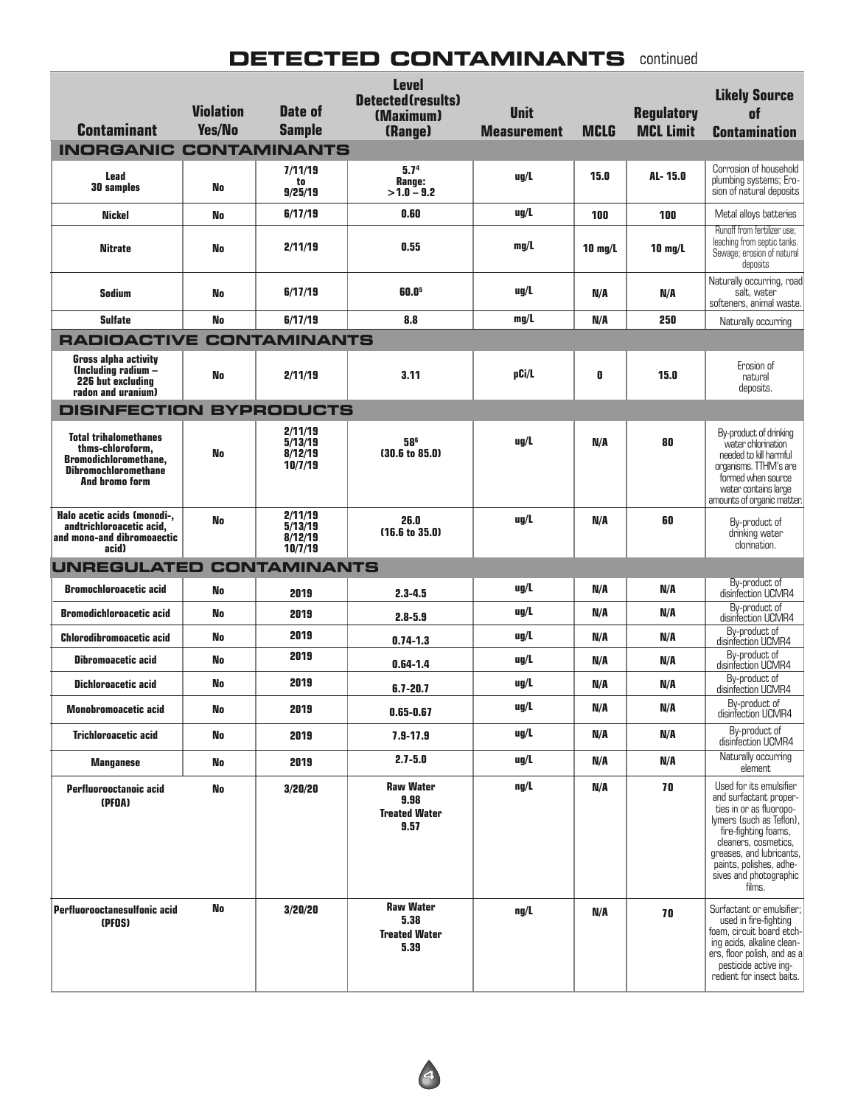#### **DETECTED CONTAMINANTS** continued

| <b>Contaminant</b>                                                                                                                | <b>Violation</b><br>Yes/No | Date of<br><b>Sample</b>                 | <b>Level</b><br>Detected(results)<br>(Maximum)<br>(Range) | <b>Unit</b><br><b>Measurement</b> | <b>MCLG</b>       | <b>Regulatory</b><br><b>MCL Limit</b> | <b>Likely Source</b><br>of<br><b>Contamination</b>                                                                                                                                                                                                  |
|-----------------------------------------------------------------------------------------------------------------------------------|----------------------------|------------------------------------------|-----------------------------------------------------------|-----------------------------------|-------------------|---------------------------------------|-----------------------------------------------------------------------------------------------------------------------------------------------------------------------------------------------------------------------------------------------------|
| <b>INORGANIC CONTAMINANTS</b>                                                                                                     |                            |                                          |                                                           |                                   |                   |                                       |                                                                                                                                                                                                                                                     |
| Lead<br><b>30 samples</b>                                                                                                         | No                         | 7/11/19<br>to<br>9/25/19                 | 5.7 <sup>4</sup><br>Range:<br>$>1.0 - 9.2$                | uq/L                              | 15.0              | AL-15.0                               | Corrosion of household<br>plumbing systems; Ero-<br>sion of natural deposits                                                                                                                                                                        |
| Nickel                                                                                                                            | No                         | 6/17/19                                  | 0.60                                                      | uq/L                              | 100               | 100                                   | Metal alloys batteries                                                                                                                                                                                                                              |
| <b>Nitrate</b>                                                                                                                    | No                         | 2/11/19                                  | 0.55                                                      | mq/L                              | $10 \text{ mq/L}$ | $10 \text{ mq/L}$                     | Runoff from fertilizer use;<br>leaching from septic tanks.<br>Sewage; erosion of natural<br>deposits                                                                                                                                                |
| <b>Sodium</b>                                                                                                                     | No                         | 6/17/19                                  | 60.05                                                     | $\mu$ g/L                         | N/A               | N/A                                   | Naturally occurring, road<br>salt, water<br>softeners, animal waste.                                                                                                                                                                                |
| <b>Sulfate</b>                                                                                                                    | No                         | 6/17/19                                  | 8.8                                                       | mq/L                              | N/A               | 250                                   | Naturally occurring                                                                                                                                                                                                                                 |
| <b>RADIOACTIVE CONTAMINANTS</b>                                                                                                   |                            |                                          |                                                           |                                   |                   |                                       |                                                                                                                                                                                                                                                     |
| <b>Gross alpha activity</b><br>$l$ Including radium $-$<br>226 but excluding<br>radon and uranium)                                | No                         | 2/11/19                                  | 3.11                                                      | pCi/L                             | 0                 | 15.0                                  | Erosion of<br>natural<br>deposits.                                                                                                                                                                                                                  |
| <b>DISINFECTION BYPRODUCTS</b>                                                                                                    |                            |                                          |                                                           |                                   |                   |                                       |                                                                                                                                                                                                                                                     |
| <b>Total trihalomethanes</b><br>thms-chloroform,<br><b>Bromodichloromethane,</b><br><b>Dibromochloromethane</b><br>And bromo form | No                         | 2/11/19<br>5/13/19<br>8/12/19<br>10/7/19 | 586<br>(30.6 to 85.0)                                     | $\mu$ g/L                         | N/A               | 80                                    | By-product of drinking<br>water chlorination<br>needed to kill harmful<br>organisms. TTHM's are<br>formed when source<br>water contains large<br>amounts of organic matter.                                                                         |
| Halo acetic acids (monodi-,<br>andtrichloroacetic acid,<br>and mono-and dibromoaectic<br>acid)                                    | No                         | 2/11/19<br>5/13/19<br>8/12/19<br>10/7/19 | 26.0<br>(16.6 to 35.0)                                    | uq/L                              | N/A               | 60                                    | By-product of<br>drinking water<br>clorination.                                                                                                                                                                                                     |
| UNREGULATED CONTAMINANTS                                                                                                          |                            |                                          |                                                           |                                   |                   |                                       |                                                                                                                                                                                                                                                     |
| <b>Bromochloroacetic acid</b>                                                                                                     | No                         | 2019                                     | $2.3 - 4.5$                                               | uq/L                              | N/A               | N/A                                   | By-product of<br>disinfection UCMR4                                                                                                                                                                                                                 |
| <b>Bromodichloroacetic acid</b>                                                                                                   | No                         | 2019                                     | $2.8 - 5.9$                                               | $\mu$ g/L                         | N/A               | N/A                                   | By-product of<br>disinfection UCMR4                                                                                                                                                                                                                 |
| <b>Chlorodibromoacetic acid</b>                                                                                                   | No                         | 2019                                     | $0.74 - 1.3$                                              | $\mu$ g/L                         | N/A               | N/A                                   | By-product of<br>disinfection UCMR4                                                                                                                                                                                                                 |
| <b>Dibromoacetic acid</b>                                                                                                         | No                         | 2019                                     | $0.64 - 1.4$                                              | $\mu$ g/L                         | N/A               | N/A                                   | By-product of<br>disinfection UCMR4                                                                                                                                                                                                                 |
| <b>Dichloroacetic acid</b>                                                                                                        | No                         | 2019                                     | $6.7 - 20.7$                                              | $\mu$ g/L                         | N/A               | N/A                                   | By-product of<br>disinfection UCMR4                                                                                                                                                                                                                 |
| <b>Monobromoacetic acid</b>                                                                                                       | No                         | 2019                                     | $0.65 - 0.67$                                             | ug/L                              | N/A               | N/A                                   | By-product of<br>disinfection UCMR4                                                                                                                                                                                                                 |
| <b>Trichloroacetic acid</b>                                                                                                       | No                         | 2019                                     | $7.9 - 17.9$                                              | ug/L                              | N/A               | N/A                                   | By-product of<br>disinfection UCMR4                                                                                                                                                                                                                 |
| <b>Manganese</b>                                                                                                                  | No                         | 2019                                     | $2.7 - 5.0$                                               | $\mu$ g/L                         | N/A               | N/A                                   | Naturally occurring<br>element                                                                                                                                                                                                                      |
| Perfluorooctanoic acid<br>(PFOA)                                                                                                  | No                         | 3/20/20                                  | <b>Raw Water</b><br>9.98<br><b>Treated Water</b><br>9.57  | $\mathbf{ng}/\mathbf{L}$          | N/A               | 70                                    | Used for its emulsifier<br>and surfactant proper-<br>ties in or as fluoropo-<br>lymers (such as Teflon),<br>fire-fighting foams,<br>cleaners, cosmetics.<br>greases, and lubricants,<br>paints, polishes, adhe-<br>sives and photographic<br>films. |
| Perfluorooctanesulfonic acid<br>(PFOS)                                                                                            | No                         | 3/20/20                                  | <b>Raw Water</b><br>5.38<br><b>Treated Water</b><br>5.39  | $\mathbf{ng}/\mathbf{L}$          | N/A               | 70                                    | Surfactant or emulsifier;<br>used in fire-fighting<br>foam, circuit board etch-<br>ing acids, alkaline clean-<br>ers, floor polish, and as a<br>pesticide active ing-<br>redient for insect baits.                                                  |

**4**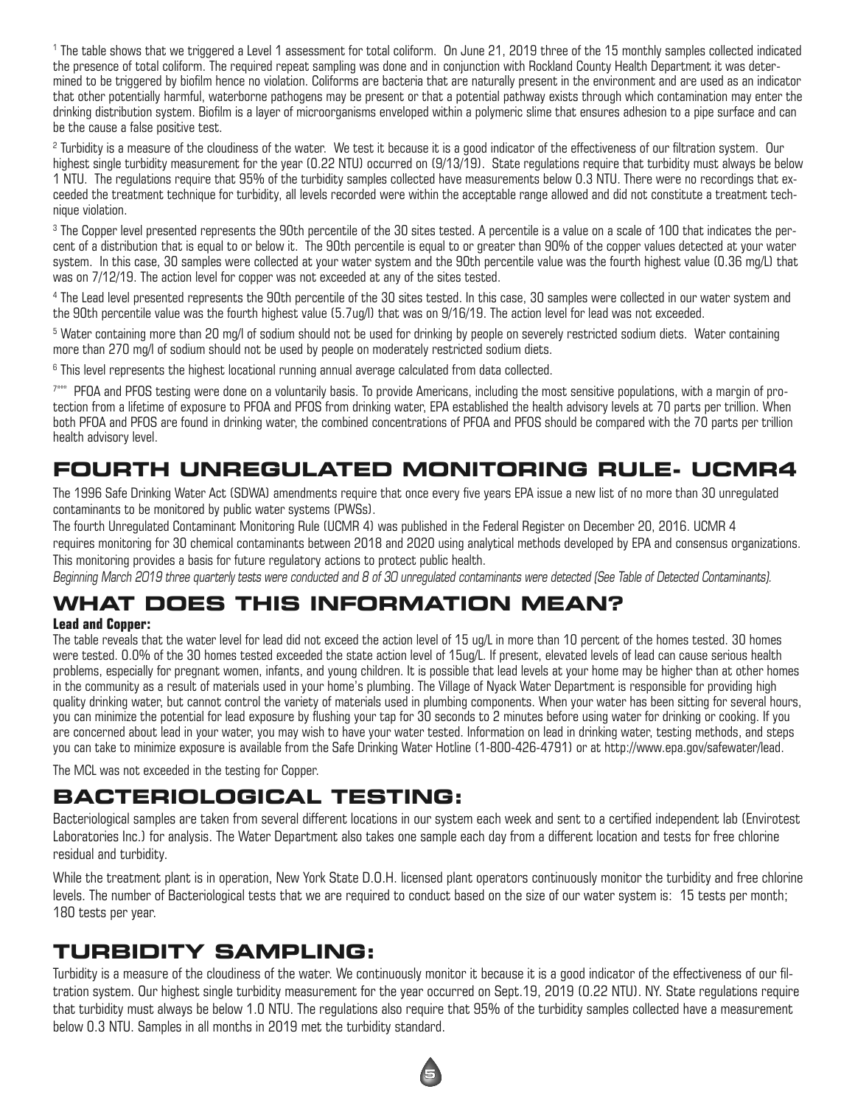<sup>1</sup> The table shows that we triggered a Level 1 assessment for total coliform. On June 21, 2019 three of the 15 monthly samples collected indicated the presence of total coliform. The required repeat sampling was done and in conjunction with Rockland County Health Department it was determined to be triggered by biofilm hence no violation. Coliforms are bacteria that are naturally present in the environment and are used as an indicator that other potentially harmful, waterborne pathogens may be present or that a potential pathway exists through which contamination may enter the drinking distribution system. Biofilm is a layer of microorganisms enveloped within a polymeric slime that ensures adhesion to a pipe surface and can be the cause a false positive test.

<sup>2</sup> Turbidity is a measure of the cloudiness of the water. We test it because it is a good indicator of the effectiveness of our filtration system. Our highest single turbidity measurement for the year (0.22 NTU) occurred on (9/13/19). State regulations require that turbidity must always be below 1 NTU. The regulations require that 95% of the turbidity samples collected have measurements below 0.3 NTU. There were no recordings that exceeded the treatment technique for turbidity, all levels recorded were within the acceptable range allowed and did not constitute a treatment technique violation.

<sup>3</sup> The Copper level presented represents the 90th percentile of the 30 sites tested. A percentile is a value on a scale of 100 that indicates the percent of a distribution that is equal to or below it. The 90th percentile is equal to or greater than 90% of the copper values detected at your water system. In this case, 30 samples were collected at your water system and the 90th percentile value was the fourth highest value (0.36 mg/L) that was on 7/12/19. The action level for copper was not exceeded at any of the sites tested.

<sup>4</sup> The Lead level presented represents the 90th percentile of the 30 sites tested. In this case, 30 samples were collected in our water system and the 90th percentile value was the fourth highest value (5.7ug/l) that was on 9/16/19. The action level for lead was not exceeded.

<sup>5</sup> Water containing more than 20 mg/l of sodium should not be used for drinking by people on severely restricted sodium diets. Water containing more than 270 mg/l of sodium should not be used by people on moderately restricted sodium diets.

<sup>6</sup> This level represents the highest locational running annual average calculated from data collected.

7\*\*\* PFOA and PFOS testing were done on a voluntarily basis. To provide Americans, including the most sensitive populations, with a margin of protection from a lifetime of exposure to PFOA and PFOS from drinking water, EPA established the health advisory levels at 70 parts per trillion. When both PFOA and PFOS are found in drinking water, the combined concentrations of PFOA and PFOS should be compared with the 70 parts per trillion health advisory level.

### **FOURTH UNREGULATED MONITORING RULE- UCMR4**

The 1996 Safe Drinking Water Act (SDWA) amendments require that once every five years EPA issue a new list of no more than 30 unregulated contaminants to be monitored by public water systems (PWSs).

The fourth Unregulated Contaminant Monitoring Rule (UCMR 4) was published in the Federal Register on December 20, 2016. UCMR 4

requires monitoring for 30 chemical contaminants between 2018 and 2020 using analytical methods developed by EPA and consensus organizations. This monitoring provides a basis for future regulatory actions to protect public health.

Beginning March 2019 three quarterly tests were conducted and 8 of 30 unregulated contaminants were detected (See Table of Detected Contaminants).

# **WHAT DOES THIS INFORMATION MEAN?**

#### **Lead and Copper:**

The table reveals that the water level for lead did not exceed the action level of 15 ug/L in more than 10 percent of the homes tested. 30 homes were tested. 0.0% of the 30 homes tested exceeded the state action level of 15ug/L. If present, elevated levels of lead can cause serious health problems, especially for pregnant women, infants, and young children. It is possible that lead levels at your home may be higher than at other homes in the community as a result of materials used in your home's plumbing. The Village of Nyack Water Department is responsible for providing high quality drinking water, but cannot control the variety of materials used in plumbing components. When your water has been sitting for several hours, you can minimize the potential for lead exposure by flushing your tap for 30 seconds to 2 minutes before using water for drinking or cooking. If you are concerned about lead in your water, you may wish to have your water tested. Information on lead in drinking water, testing methods, and steps you can take to minimize exposure is available from the Safe Drinking Water Hotline (1-800-426-4791) or at http://www.epa.gov/safewater/lead.

The MCL was not exceeded in the testing for Copper.

### **BACTERIOLOGICAL TESTING:**

Bacteriological samples are taken from several different locations in our system each week and sent to a certified independent lab (Envirotest Laboratories Inc.) for analysis. The Water Department also takes one sample each day from a different location and tests for free chlorine residual and turbidity.

While the treatment plant is in operation, New York State D.O.H. licensed plant operators continuously monitor the turbidity and free chlorine levels. The number of Bacteriological tests that we are required to conduct based on the size of our water system is: 15 tests per month; 180 tests per year.

### **TURBIDITY SAMPLING:**

Turbidity is a measure of the cloudiness of the water. We continuously monitor it because it is a good indicator of the effectiveness of our filtration system. Our highest single turbidity measurement for the year occurred on Sept.19, 2019 (0.22 NTU). NY. State regulations require that turbidity must always be below 1.0 NTU. The regulations also require that 95% of the turbidity samples collected have a measurement below 0.3 NTU. Samples in all months in 2019 met the turbidity standard.

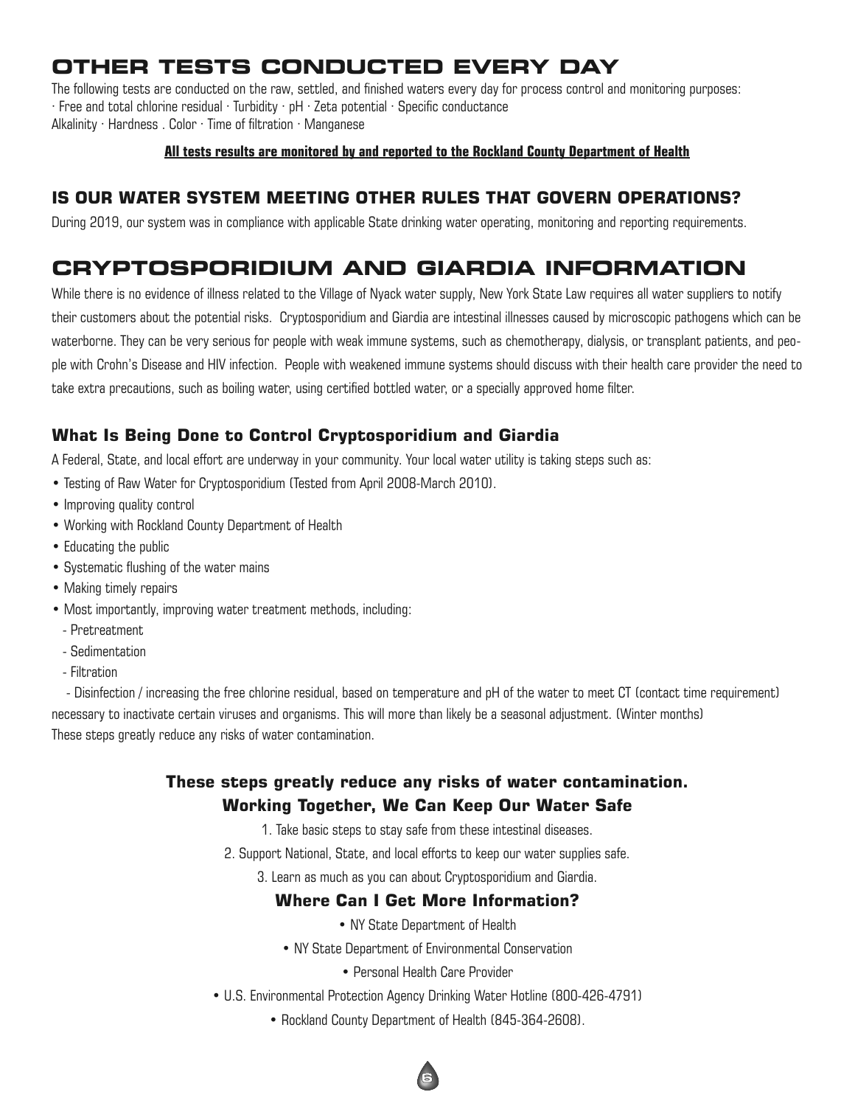# **OTHER TESTS CONDUCTED EVERY DAY**

The following tests are conducted on the raw, settled, and finished waters every day for process control and monitoring purposes: · Free and total chlorine residual · Turbidity · pH · Zeta potential · Specific conductance Alkalinity  $\cdot$  Hardness . Color  $\cdot$  Time of filtration  $\cdot$  Manganese

#### **All tests results are monitored by and reported to the Rockland County Department of Health**

#### **IS OUR WATER SYSTEM MEETING OTHER RULES THAT GOVERN OPERATIONS?**

During 2019, our system was in compliance with applicable State drinking water operating, monitoring and reporting requirements.

### **CRYPTOSPORIDIUM AND GIARDIA INFORMATION**

While there is no evidence of illness related to the Village of Nyack water supply, New York State Law requires all water suppliers to notify their customers about the potential risks. Cryptosporidium and Giardia are intestinal illnesses caused by microscopic pathogens which can be waterborne. They can be very serious for people with weak immune systems, such as chemotherapy, dialysis, or transplant patients, and people with Crohn's Disease and HIV infection. People with weakened immune systems should discuss with their health care provider the need to take extra precautions, such as boiling water, using certified bottled water, or a specially approved home filter.

#### **What Is Being Done to Control Cryptosporidium and Giardia**

A Federal, State, and local effort are underway in your community. Your local water utility is taking steps such as:

- Testing of Raw Water for Cryptosporidium (Tested from April 2008-March 2010).
- Improving quality control
- Working with Rockland County Department of Health
- Educating the public
- Systematic flushing of the water mains
- Making timely repairs
- Most importantly, improving water treatment methods, including:
	- Pretreatment
	- Sedimentation
	- Filtration

- Disinfection / increasing the free chlorine residual, based on temperature and pH of the water to meet CT (contact time requirement) necessary to inactivate certain viruses and organisms. This will more than likely be a seasonal adjustment. (Winter months) These steps greatly reduce any risks of water contamination.

#### **These steps greatly reduce any risks of water contamination. Working Together, We Can Keep Our Water Safe**

- 1. Take basic steps to stay safe from these intestinal diseases.
- 2. Support National, State, and local efforts to keep our water supplies safe.
	- 3. Learn as much as you can about Cryptosporidium and Giardia.

#### **Where Can I Get More Information?**

- NY State Department of Health
- NY State Department of Environmental Conservation
	- Personal Health Care Provider
- U.S. Environmental Protection Agency Drinking Water Hotline (800-426-4791)
	- Rockland County Department of Health (845-364-2608).

**6**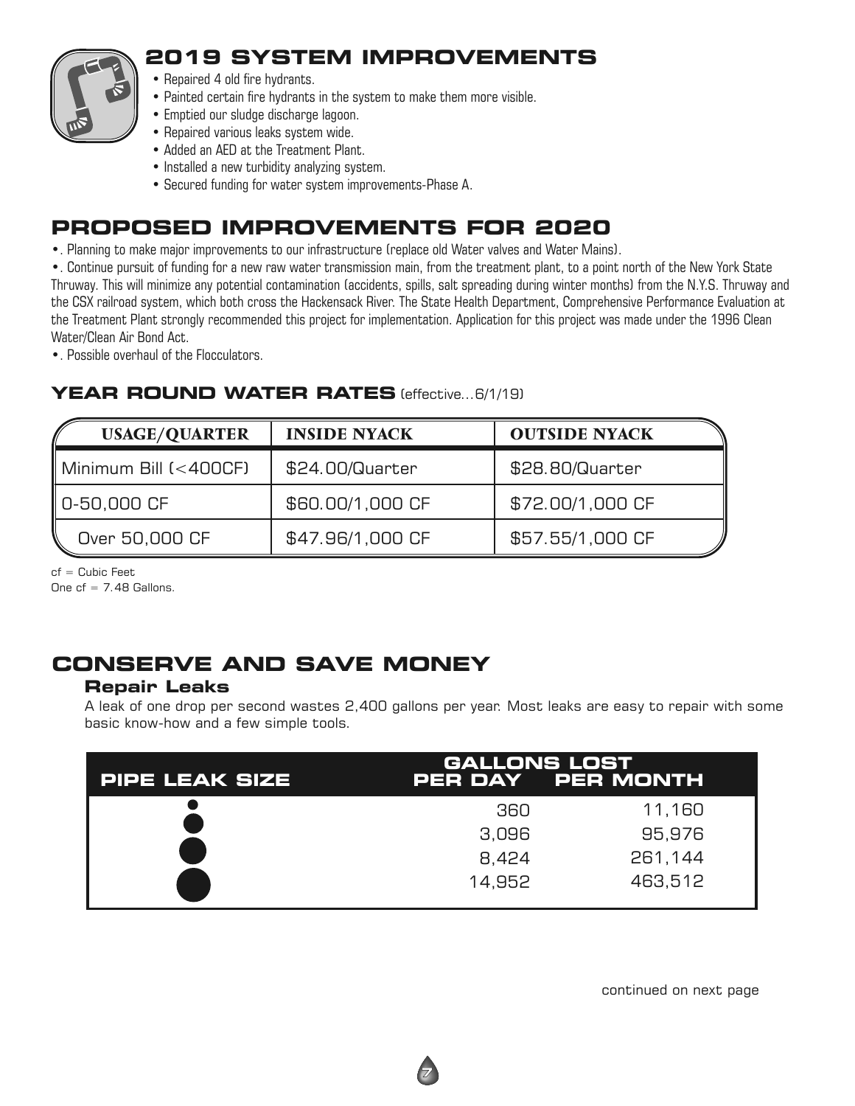

## **2019 SYSTEM IMPROVEMENTS**

- Repaired 4 old fire hydrants.
- Painted certain fire hydrants in the system to make them more visible.
- Emptied our sludge discharge lagoon.
- Repaired various leaks system wide.
- Added an AED at the Treatment Plant.
- Installed a new turbidity analyzing system.
- Secured funding for water system improvements-Phase A.

## **PROPOSED IMPROVEMENTS FOR 2020**

•. Planning to make major improvements to our infrastructure (replace old Water valves and Water Mains).

•. Continue pursuit of funding for a new raw water transmission main, from the treatment plant, to a point north of the New York State Thruway. This will minimize any potential contamination (accidents, spills, salt spreading during winter months) from the N.Y.S. Thruway and the CSX railroad system, which both cross the Hackensack River. The State Health Department, Comprehensive Performance Evaluation at the Treatment Plant strongly recommended this project for implementation. Application for this project was made under the 1996 Clean Water/Clean Air Bond Act.

•. Possible overhaul of the Flocculators.

#### **YEAR ROUND WATER RATES** (effective...6/1/19)

| <b>USAGE/QUARTER</b>                 | <b>INSIDE NYACK</b> | <b>OUTSIDE NYACK</b> |
|--------------------------------------|---------------------|----------------------|
| $\parallel$ Minimum Bill $(<$ 400CF) | \$24.00/Quarter     | \$28.80/Quarter      |
| $\parallel$ 0-50,000 CF              | \$60.00/1,000 CF    | \$72.00/1,000 CF     |
| Over 50,000 CF                       | \$47.96/1,000 CF    | \$57.55/1,000 CF     |

 $cf = Cubic Feet$ 

One  $cf = 7.48$  Gallons.

# **CONSERVE AND SAVE MONEY**

#### **Repair Leaks**

A leak of one drop per second wastes 2,400 gallons per year. Most leaks are easy to repair with some basic know-how and a few simple tools.

| <b>PIPE LEAK SIZE</b> | <b>GALLONS LOST</b> | PER DAY PER MONTH |
|-----------------------|---------------------|-------------------|
|                       | 360                 | 11,160            |
|                       | 3,096               | 95,976            |
|                       | 8,424               | 261,144           |
|                       | 14.952              | 463,512           |

continued on next page